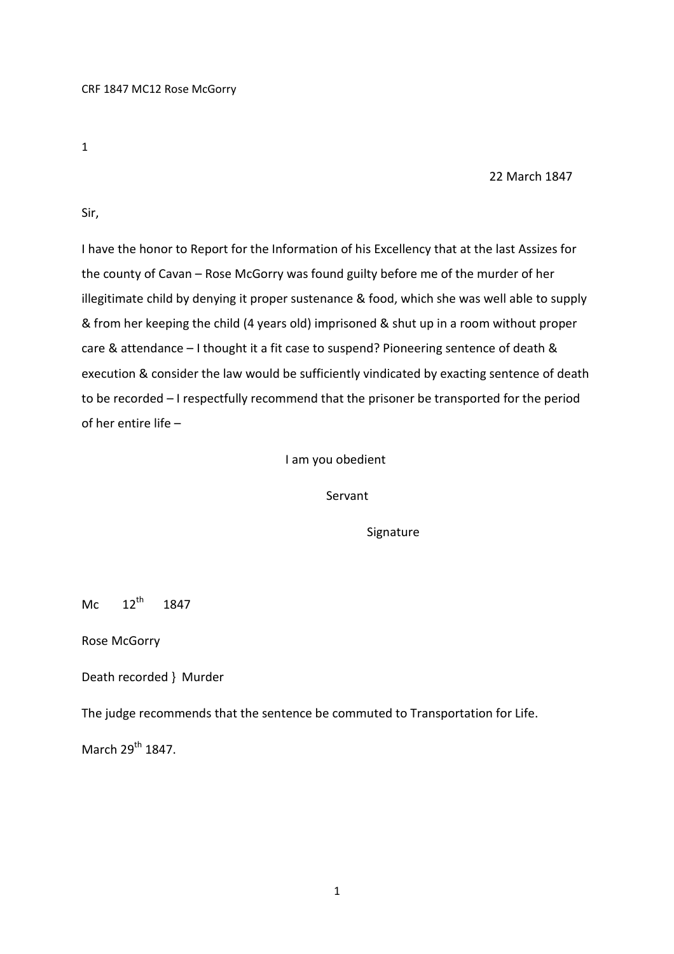1

## 22 March 1847

Sir,

I have the honor to Report for the Information of his Excellency that at the last Assizes for the county of Cavan – Rose McGorry was found guilty before me of the murder of her illegitimate child by denying it proper sustenance & food, which she was well able to supply & from her keeping the child (4 years old) imprisoned & shut up in a room without proper care & attendance – I thought it a fit case to suspend? Pioneering sentence of death & execution & consider the law would be sufficiently vindicated by exacting sentence of death to be recorded – I respectfully recommend that the prisoner be transported for the period of her entire life –

## I am you obedient

Servant

**Signature** 

Mc  $12^{th}$  1847

Rose McGorry

Death recorded } Murder

The judge recommends that the sentence be commuted to Transportation for Life.

March  $29^{th}$  1847.